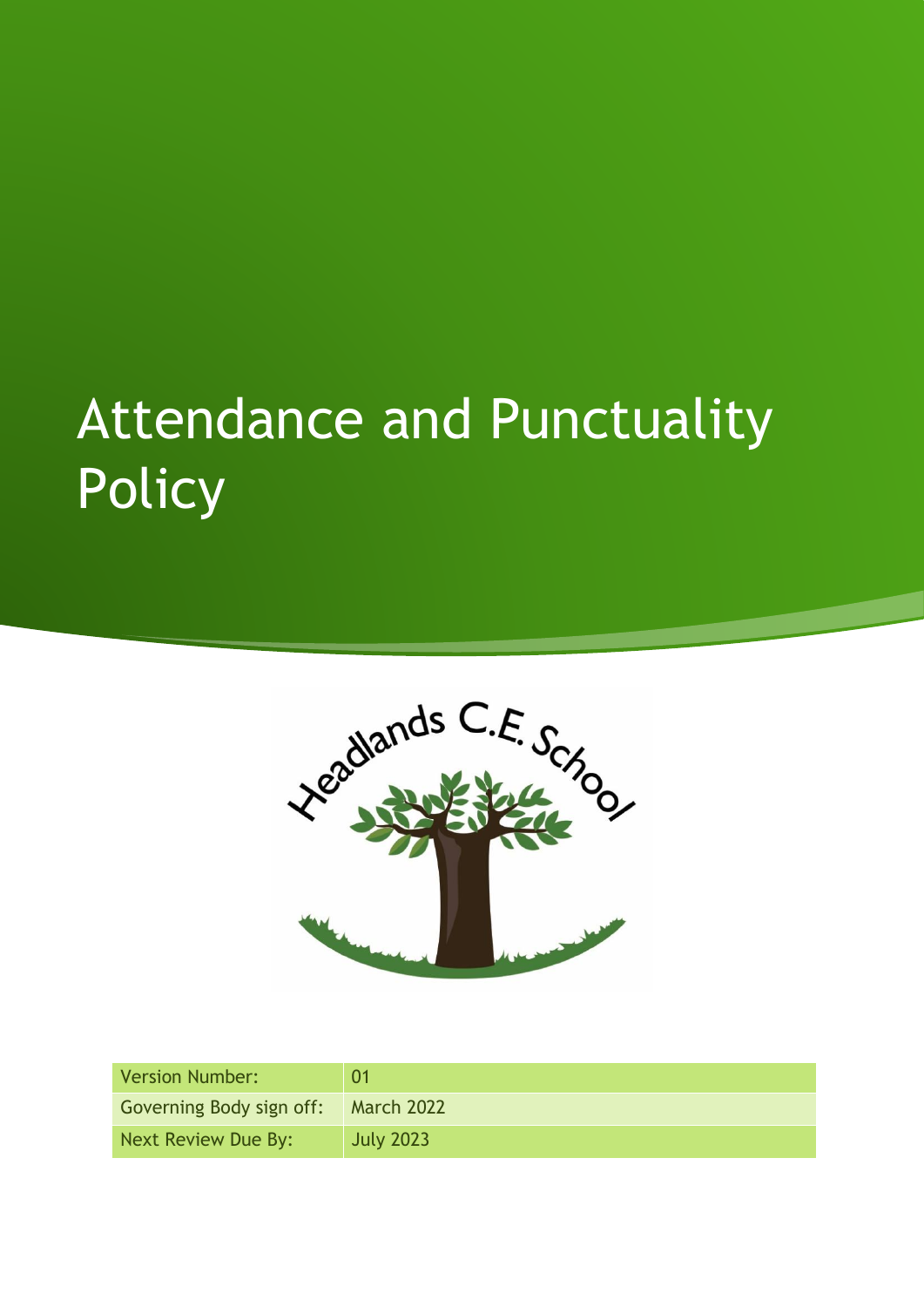# Attendance and Punctuality Policy



| Version Number:          | 01                |
|--------------------------|-------------------|
| Governing Body sign off: | <b>March 2022</b> |
| Next Review Due By:      | <b>July 2023</b>  |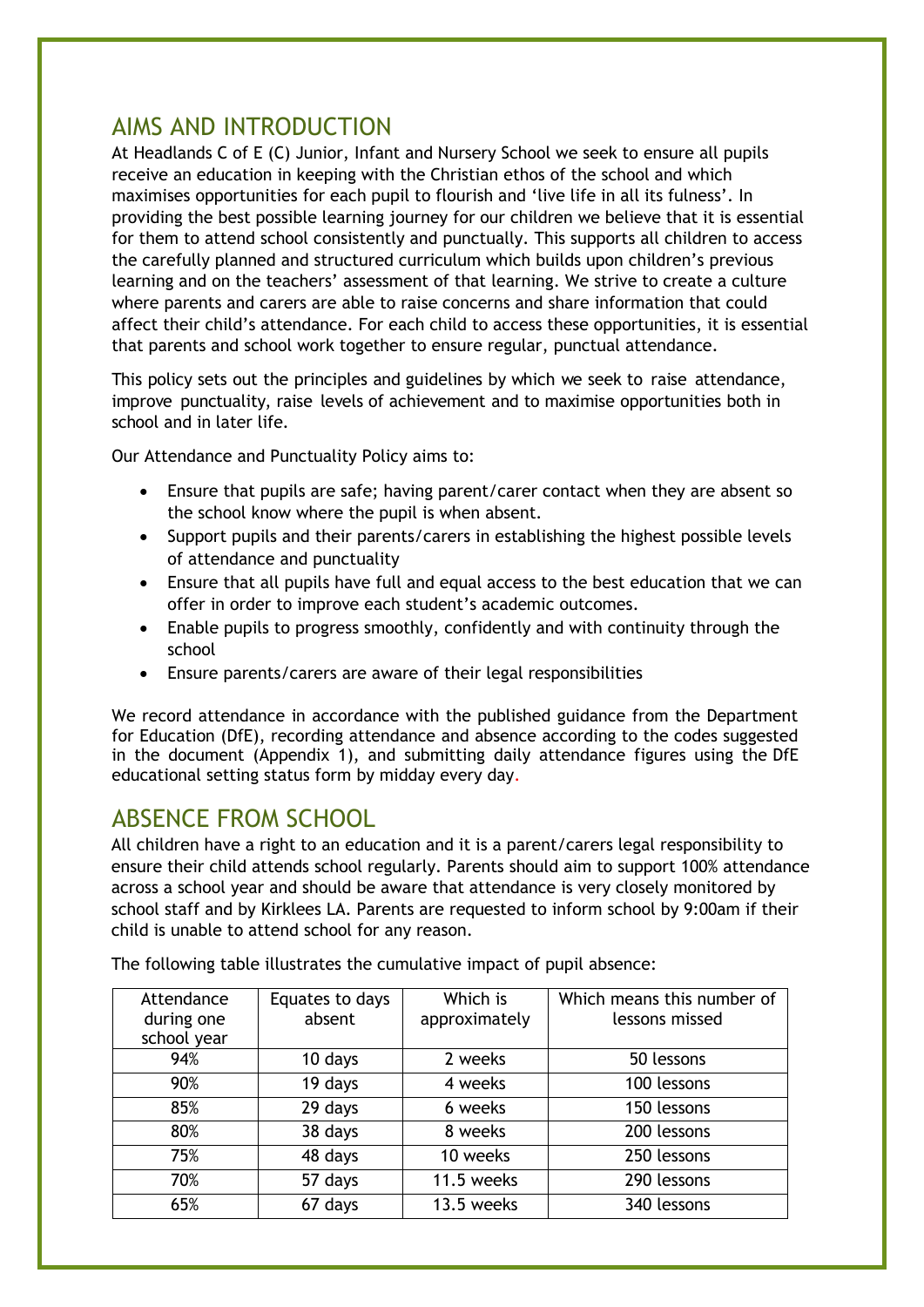## AIMS AND INTRODUCTION

At Headlands C of E (C) Junior, Infant and Nursery School we seek to ensure all pupils receive an education in keeping with the Christian ethos of the school and which maximises opportunities for each pupil to flourish and 'live life in all its fulness'. In providing the best possible learning journey for our children we believe that it is essential for them to attend school consistently and punctually. This supports all children to access the carefully planned and structured curriculum which builds upon children's previous learning and on the teachers' assessment of that learning. We strive to create a culture where parents and carers are able to raise concerns and share information that could affect their child's attendance. For each child to access these opportunities, it is essential that parents and school work together to ensure regular, punctual attendance.

This policy sets out the principles and guidelines by which we seek to raise attendance, improve punctuality, raise levels of achievement and to maximise opportunities both in school and in later life.

Our Attendance and Punctuality Policy aims to:

- Ensure that pupils are safe; having parent/carer contact when they are absent so the school know where the pupil is when absent.
- Support pupils and their parents/carers in establishing the highest possible levels of attendance and punctuality
- Ensure that all pupils have full and equal access to the best education that we can offer in order to improve each student's academic outcomes.
- Enable pupils to progress smoothly, confidently and with continuity through the school
- Ensure parents/carers are aware of their legal responsibilities

We record attendance in accordance with the published guidance from the Department for Education (DfE), recording attendance and absence according to the codes suggested in the document (Appendix 1), and submitting daily attendance figures using the DfE [educational setting status form](https://lnks.gd/l/eyJhbGciOiJIUzI1NiJ9.eyJidWxsZXRpbl9saW5rX2lkIjoxMTUsInVyaSI6ImJwMjpjbGljayIsImJ1bGxldGluX2lkIjoiMjAyMDA1MjkuMjIyMDI2ODEiLCJ1cmwiOiJodHRwczovL2Zvcm0uZWR1Y2F0aW9uLmdvdi51ay9zZXJ2aWNlL2VkdWNhdGlvbmFsLXNldHRpbmctc3RhdHVzIn0.kYDKnCCs9AXie7082kZORGsR0zNdmHKuK2BAWQk2tIo/br/79248679128-l) by midday every day.

## ABSENCE FROM SCHOOL

All children have a right to an education and it is a parent/carers legal responsibility to ensure their child attends school regularly. Parents should aim to support 100% attendance across a school year and should be aware that attendance is very closely monitored by school staff and by Kirklees LA. Parents are requested to inform school by 9:00am if their child is unable to attend school for any reason.

| Attendance  | Equates to days | Which is      | Which means this number of |
|-------------|-----------------|---------------|----------------------------|
| during one  | absent          | approximately | lessons missed             |
| school year |                 |               |                            |
| 94%         | 10 days         | 2 weeks       | 50 lessons                 |
| 90%         | 19 days         | 4 weeks       | 100 lessons                |
| 85%         | 29 days         | 6 weeks       | 150 lessons                |
| 80%         | 38 days         | 8 weeks       | 200 lessons                |
| 75%         | 48 days         | 10 weeks      | 250 lessons                |
| 70%         | 57 days         | 11.5 weeks    | 290 lessons                |
| 65%         | 67 days         | 13.5 weeks    | 340 lessons                |

The following table illustrates the cumulative impact of pupil absence: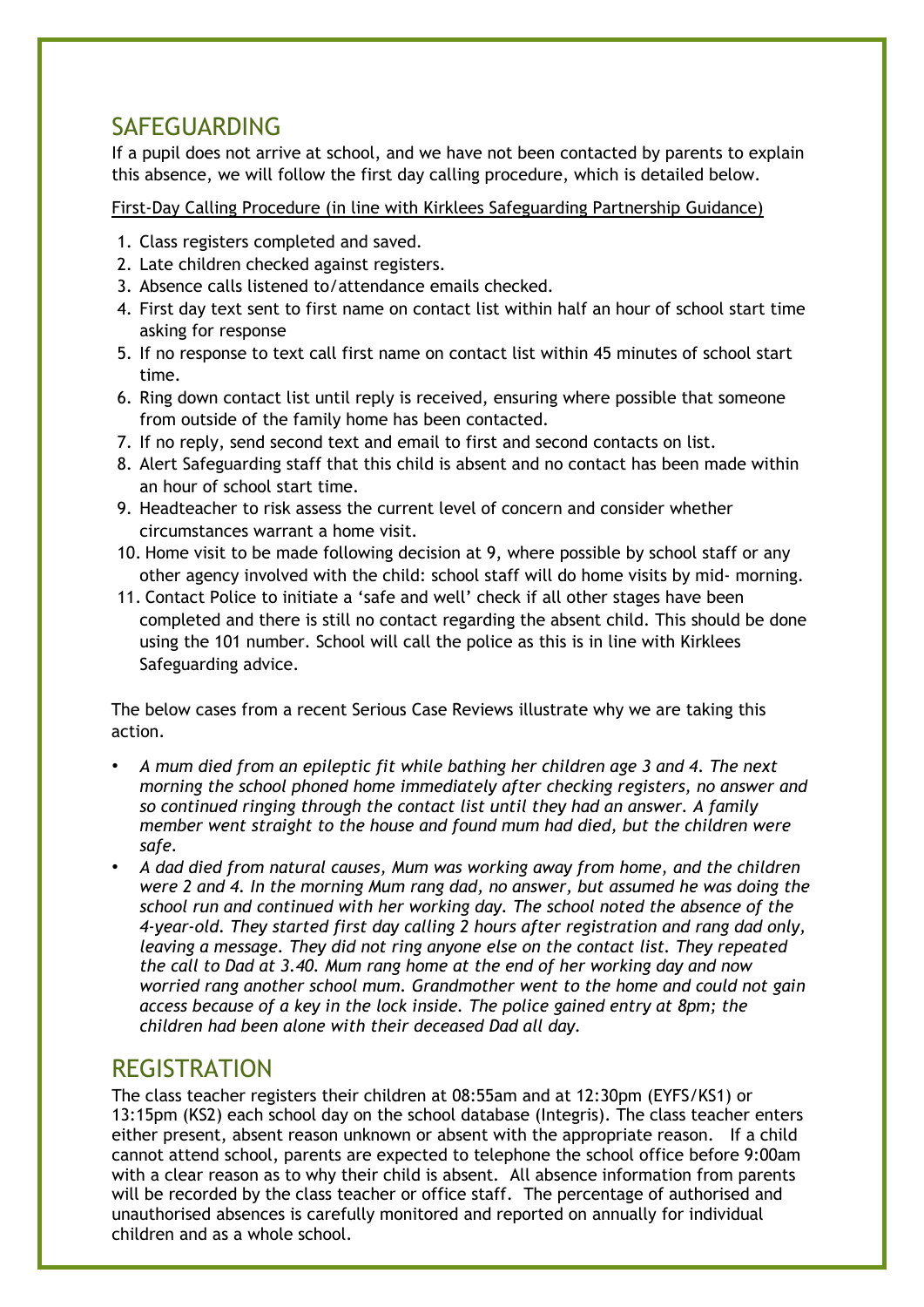## SAFEGUARDING

If a pupil does not arrive at school, and we have not been contacted by parents to explain this absence, we will follow the first day calling procedure, which is detailed below.

First-Day Calling Procedure (in line with Kirklees Safeguarding Partnership Guidance)

- 1. Class registers completed and saved.
- 2. Late children checked against registers.
- 3. Absence calls listened to/attendance emails checked.
- 4. First day text sent to first name on contact list within half an hour of school start time asking for response
- 5. If no response to text call first name on contact list within 45 minutes of school start time.
- 6. Ring down contact list until reply is received, ensuring where possible that someone from outside of the family home has been contacted.
- 7. If no reply, send second text and email to first and second contacts on list.
- 8. Alert Safeguarding staff that this child is absent and no contact has been made within an hour of school start time.
- 9. Headteacher to risk assess the current level of concern and consider whether circumstances warrant a home visit.
- 10. Home visit to be made following decision at 9, where possible by school staff or any other agency involved with the child: school staff will do home visits by mid- morning.
- 11. Contact Police to initiate a 'safe and well' check if all other stages have been completed and there is still no contact regarding the absent child. This should be done using the 101 number. School will call the police as this is in line with Kirklees Safeguarding advice.

The below cases from a recent Serious Case Reviews illustrate why we are taking this action.

- *A mum died from an epileptic fit while bathing her children age 3 and 4. The next morning the school phoned home immediately after checking registers, no answer and so continued ringing through the contact list until they had an answer. A family member went straight to the house and found mum had died, but the children were safe.*
- *A dad died from natural causes, Mum was working away from home, and the children were 2 and 4. In the morning Mum rang dad, no answer, but assumed he was doing the school run and continued with her working day. The school noted the absence of the 4-year-old. They started first day calling 2 hours after registration and rang dad only, leaving a message. They did not ring anyone else on the contact list. They repeated the call to Dad at 3.40. Mum rang home at the end of her working day and now worried rang another school mum. Grandmother went to the home and could not gain access because of a key in the lock inside. The police gained entry at 8pm; the children had been alone with their deceased Dad all day.*

## **REGISTRATION**

The class teacher registers their children at 08:55am and at 12:30pm (EYFS/KS1) or 13:15pm (KS2) each school day on the school database (Integris). The class teacher enters either present, absent reason unknown or absent with the appropriate reason. If a child cannot attend school, parents are expected to telephone the school office before 9:00am with a clear reason as to why their child is absent.All absence information from parents will be recorded by the class teacher or office staff. The percentage of authorised and unauthorised absences is carefully monitored and reported on annually for individual children and as a whole school.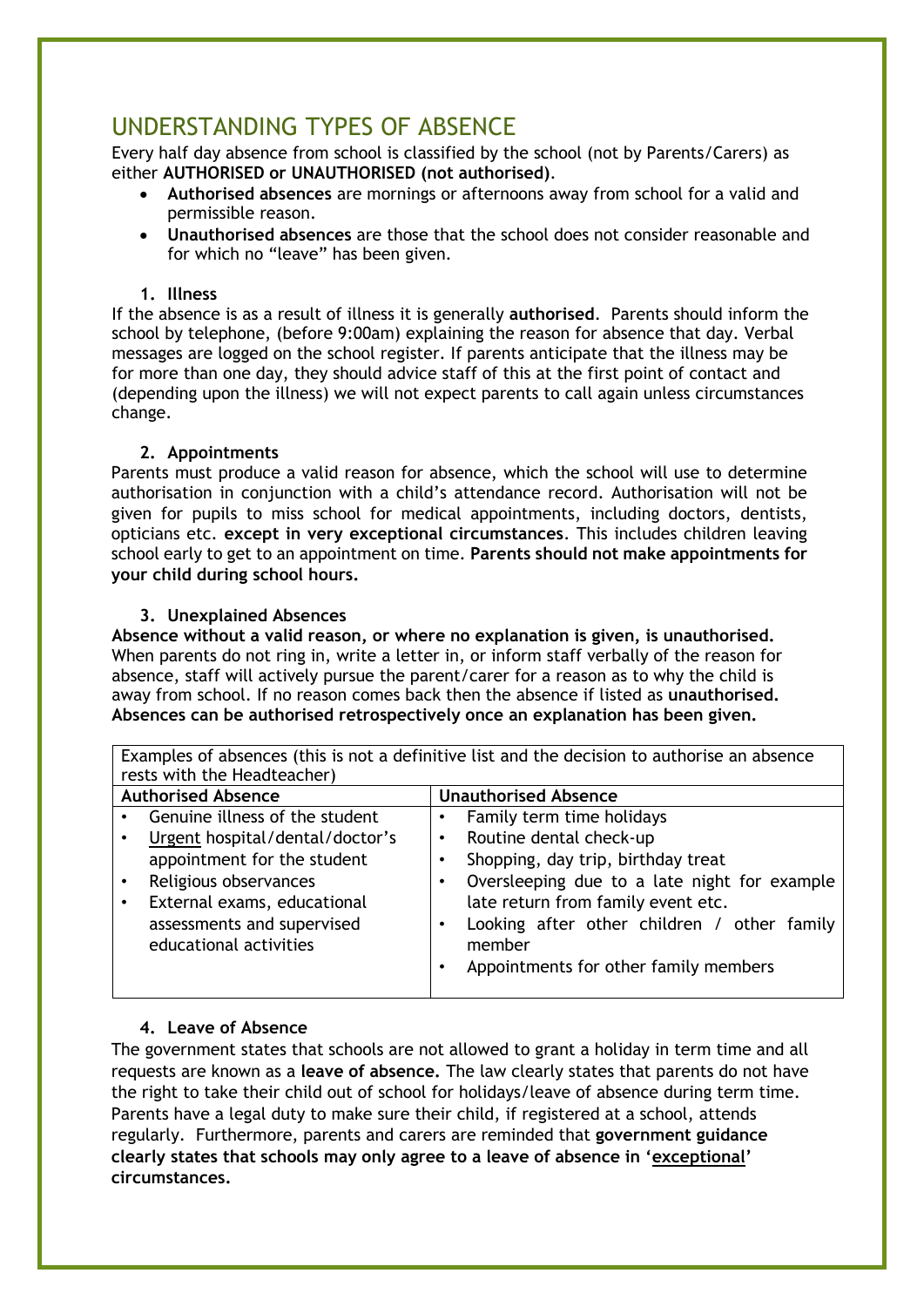## UNDERSTANDING TYPES OF ABSENCE

Every half day absence from school is classified by the school (not by Parents/Carers) as either **AUTHORISED or UNAUTHORISED (not authorised)**.

- **Authorised absences** are mornings or afternoons away from school for a valid and permissible reason.
- **Unauthorised absences** are those that the school does not consider reasonable and for which no "leave" has been given.

#### **1. Illness**

If the absence is as a result of illness it is generally **authorised**. Parents should inform the school by telephone, (before 9:00am) explaining the reason for absence that day. Verbal messages are logged on the school register. If parents anticipate that the illness may be for more than one day, they should advice staff of this at the first point of contact and (depending upon the illness) we will not expect parents to call again unless circumstances change.

#### **2. Appointments**

Parents must produce a valid reason for absence, which the school will use to determine authorisation in conjunction with a child's attendance record. Authorisation will not be given for pupils to miss school for medical appointments, including doctors, dentists, opticians etc. **except in very exceptional circumstances**. This includes children leaving school early to get to an appointment on time. **Parents should not make appointments for your child during school hours.** 

#### **3. Unexplained Absences**

**Absence without a valid reason, or where no explanation is given, is unauthorised.**  When parents do not ring in, write a letter in, or inform staff verbally of the reason for absence, staff will actively pursue the parent/carer for a reason as to why the child is away from school. If no reason comes back then the absence if listed as **unauthorised. Absences can be authorised retrospectively once an explanation has been given.** 

Examples of absences (this is not a definitive list and the decision to authorise an absence rests with the Headteacher) **Authorised Absence Unauthorised Absence** Genuine illness of the student • Urgent hospital/dental/doctor's appointment for the student Religious observances External exams, educational assessments and supervised educational activities • Family term time holidays Routine dental check-up Shopping, day trip, birthday treat • Oversleeping due to a late night for example late return from family event etc. Looking after other children / other family member • Appointments for other family members

#### **4. Leave of Absence**

The government states that schools are not allowed to grant a holiday in term time and all requests are known as a **leave of absence.** The law clearly states that parents do not have the right to take their child out of school for holidays/leave of absence during term time. Parents have a legal duty to make sure their child, if registered at a school, attends regularly. Furthermore, parents and carers are reminded that **government guidance clearly states that schools may only agree to a leave of absence in 'exceptional' circumstances.**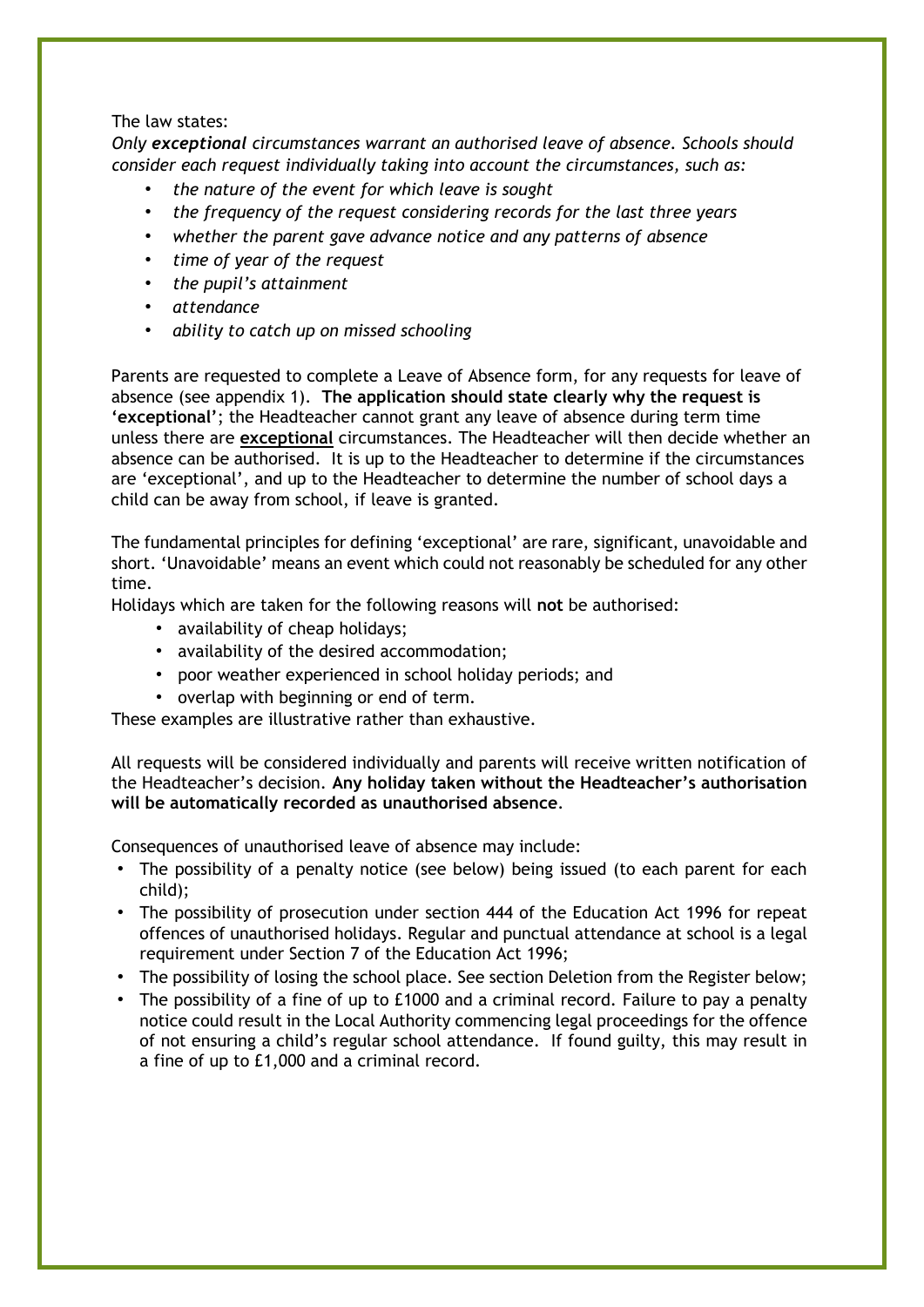#### The law states:

*Only exceptional circumstances warrant an authorised leave of absence. Schools should consider each request individually taking into account the circumstances, such as:*

- *the nature of the event for which leave is sought*
- *the frequency of the request considering records for the last three years*
- *whether the parent gave advance notice and any patterns of absence*
- *time of year of the request*
- *the pupil's attainment*
- *attendance*
- *ability to catch up on missed schooling*

Parents are requested to complete a Leave of Absence form, for any requests for leave of absence (see appendix 1). **The application should state clearly why the request is 'exceptional'**; the Headteacher cannot grant any leave of absence during term time unless there are **exceptional** circumstances. The Headteacher will then decide whether an absence can be authorised.It is up to the Headteacher to determine if the circumstances are 'exceptional', and up to the Headteacher to determine the number of school days a child can be away from school, if leave is granted.

The fundamental principles for defining 'exceptional' are rare, significant, unavoidable and short. 'Unavoidable' means an event which could not reasonably be scheduled for any other time.

Holidays which are taken for the following reasons will **not** be authorised:

- availability of cheap holidays;
- availability of the desired accommodation;
- poor weather experienced in school holiday periods; and
- overlap with beginning or end of term.

These examples are illustrative rather than exhaustive.

All requests will be considered individually and parents will receive written notification of the Headteacher's decision. **Any holiday taken without the Headteacher's authorisation will be automatically recorded as unauthorised absence**.

Consequences of unauthorised leave of absence may include:

- The possibility of a penalty notice (see below) being issued (to each parent for each child);
- The possibility of prosecution under section 444 of the Education Act 1996 for repeat offences of unauthorised holidays. Regular and punctual attendance at school is a legal requirement under Section 7 of the Education Act 1996;
- The possibility of losing the school place. See section Deletion from the Register below;
- The possibility of a fine of up to £1000 and a criminal record. Failure to pay a penalty notice could result in the Local Authority commencing legal proceedings for the offence of not ensuring a child's regular school attendance. If found guilty, this may result in a fine of up to £1,000 and a criminal record.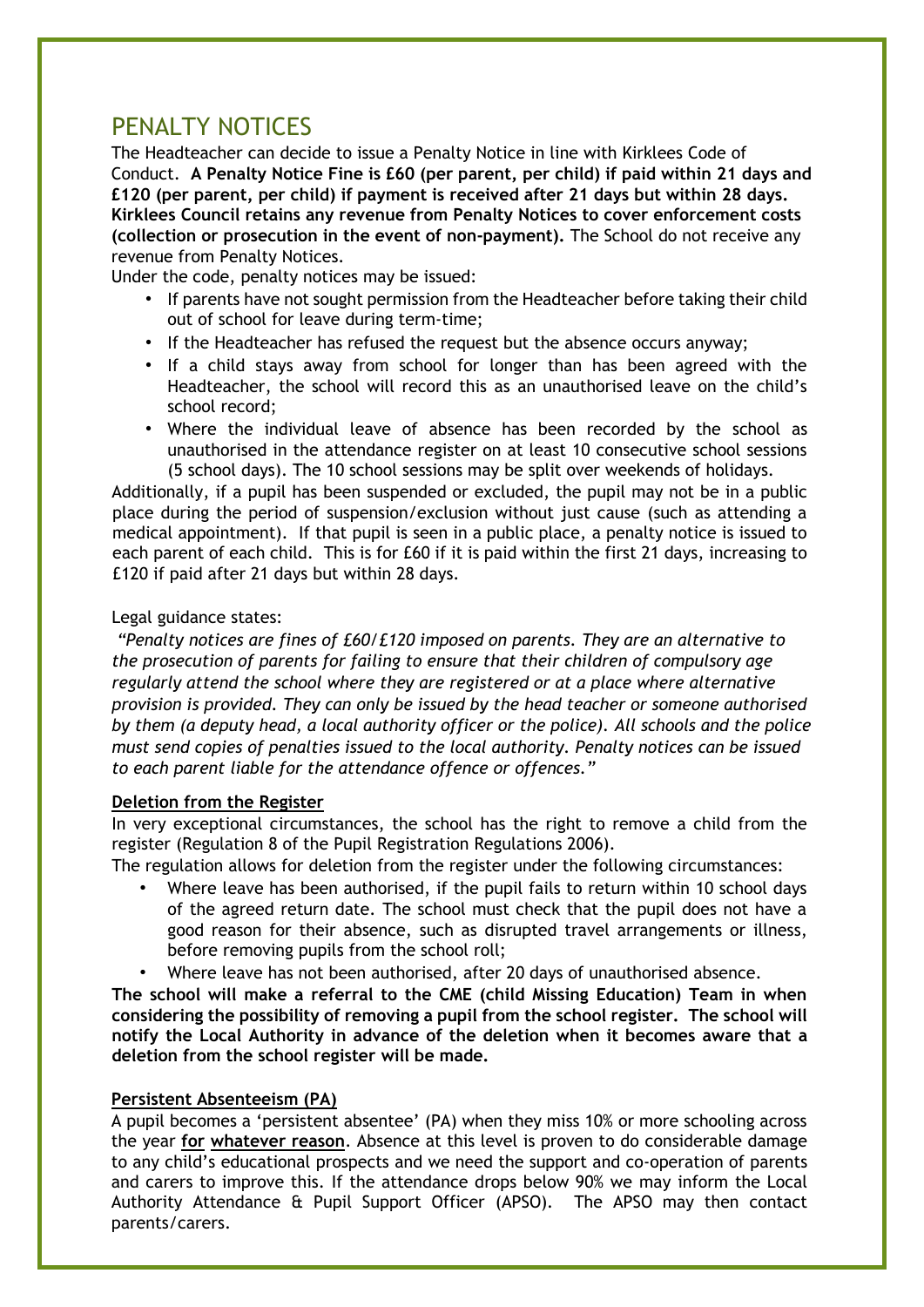## PENALTY NOTICES

The Headteacher can decide to issue a Penalty Notice in line with Kirklees Code of Conduct. **A Penalty Notice Fine is £60 (per parent, per child) if paid within 21 days and £120 (per parent, per child) if payment is received after 21 days but within 28 days. Kirklees Council retains any revenue from Penalty Notices to cover enforcement costs (collection or prosecution in the event of non-payment).** The School do not receive any revenue from Penalty Notices.

Under the code, penalty notices may be issued:

- If parents have not sought permission from the Headteacher before taking their child out of school for leave during term-time;
- If the Headteacher has refused the request but the absence occurs anyway;
- If a child stays away from school for longer than has been agreed with the Headteacher, the school will record this as an unauthorised leave on the child's school record;
- Where the individual leave of absence has been recorded by the school as unauthorised in the attendance register on at least 10 consecutive school sessions (5 school days). The 10 school sessions may be split over weekends of holidays.

Additionally, if a pupil has been suspended or excluded, the pupil may not be in a public place during the period of suspension/exclusion without just cause (such as attending a medical appointment). If that pupil is seen in a public place, a penalty notice is issued to each parent of each child. This is for £60 if it is paid within the first 21 days, increasing to £120 if paid after 21 days but within 28 days.

#### Legal guidance states:

*"Penalty notices are fines of £60/£120 imposed on parents. They are an alternative to the prosecution of parents for failing to ensure that their children of compulsory age regularly attend the school where they are registered or at a place where alternative provision is provided. They can only be issued by the head teacher or someone authorised by them (a deputy head, a local authority officer or the police). All schools and the police must send copies of penalties issued to the local authority. Penalty notices can be issued to each parent liable for the attendance offence or offences."*

#### **Deletion from the Register**

In very exceptional circumstances, the school has the right to remove a child from the register (Regulation 8 of the Pupil Registration Regulations 2006).

The regulation allows for deletion from the register under the following circumstances:

- Where leave has been authorised, if the pupil fails to return within 10 school days of the agreed return date. The school must check that the pupil does not have a good reason for their absence, such as disrupted travel arrangements or illness, before removing pupils from the school roll;
- Where leave has not been authorised, after 20 days of unauthorised absence.

**The school will make a referral to the CME (child Missing Education) Team in when considering the possibility of removing a pupil from the school register. The school will notify the Local Authority in advance of the deletion when it becomes aware that a deletion from the school register will be made.** 

#### **Persistent Absenteeism (PA)**

A pupil becomes a 'persistent absentee' (PA) when they miss 10% or more schooling across the year **for whatever reason**. Absence at this level is proven to do considerable damage to any child's educational prospects and we need the support and co-operation of parents and carers to improve this. If the attendance drops below 90% we may inform the Local Authority Attendance & Pupil Support Officer (APSO). The APSO may then contact parents/carers.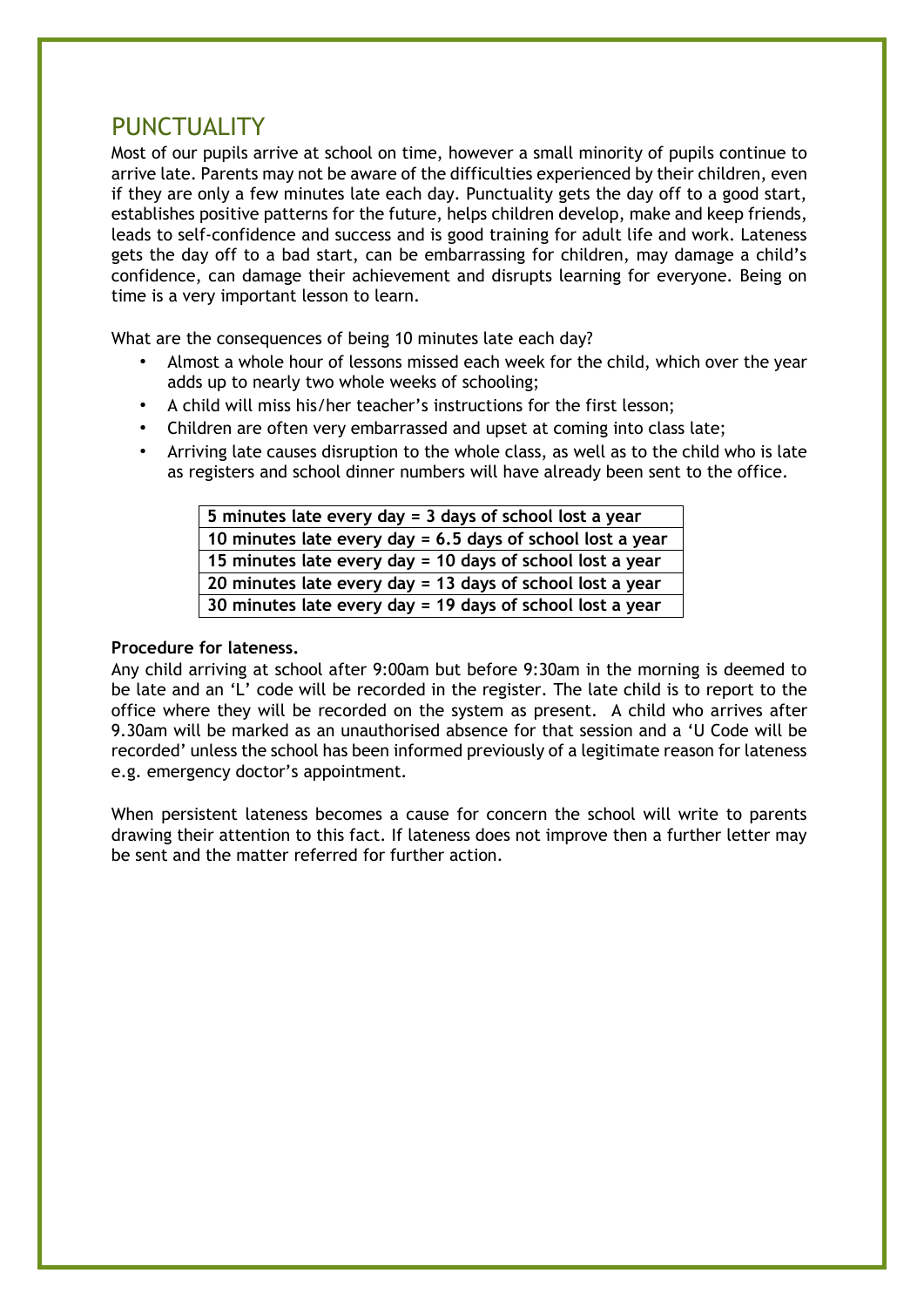## PUNCTUALITY

Most of our pupils arrive at school on time, however a small minority of pupils continue to arrive late. Parents may not be aware of the difficulties experienced by their children, even if they are only a few minutes late each day. Punctuality gets the day off to a good start, establishes positive patterns for the future, helps children develop, make and keep friends, leads to self-confidence and success and is good training for adult life and work. Lateness gets the day off to a bad start, can be embarrassing for children, may damage a child's confidence, can damage their achievement and disrupts learning for everyone. Being on time is a very important lesson to learn.

What are the consequences of being 10 minutes late each day?

- Almost a whole hour of lessons missed each week for the child, which over the year adds up to nearly two whole weeks of schooling;
- A child will miss his/her teacher's instructions for the first lesson;
- Children are often very embarrassed and upset at coming into class late;
- Arriving late causes disruption to the whole class, as well as to the child who is late as registers and school dinner numbers will have already been sent to the office.

**5 minutes late every day = 3 days of school lost a year 10 minutes late every day = 6.5 days of school lost a year 15 minutes late every day = 10 days of school lost a year 20 minutes late every day = 13 days of school lost a year 30 minutes late every day = 19 days of school lost a year** 

#### **Procedure for lateness.**

Any child arriving at school after 9:00am but before 9:30am in the morning is deemed to be late and an 'L' code will be recorded in the register. The late child is to report to the office where they will be recorded on the system as present. A child who arrives after 9.30am will be marked as an unauthorised absence for that session and a 'U Code will be recorded' unless the school has been informed previously of a legitimate reason for lateness e.g. emergency doctor's appointment.

When persistent lateness becomes a cause for concern the school will write to parents drawing their attention to this fact. If lateness does not improve then a further letter may be sent and the matter referred for further action.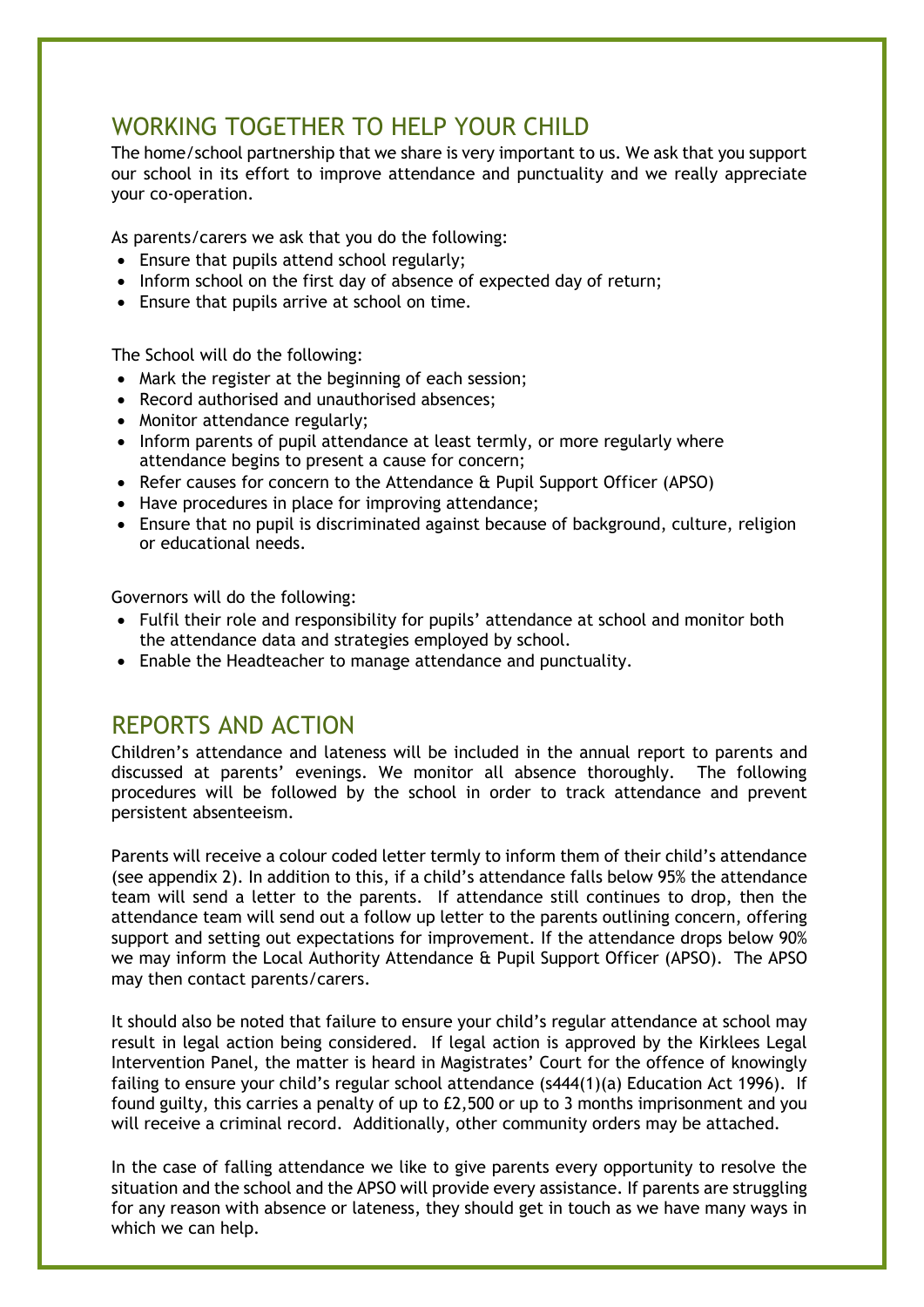## WORKING TOGETHER TO HELP YOUR CHILD

The home/school partnership that we share is very important to us. We ask that you support our school in its effort to improve attendance and punctuality and we really appreciate your co-operation.

As parents/carers we ask that you do the following:

- Ensure that pupils attend school regularly;
- Inform school on the first day of absence of expected day of return;
- Ensure that pupils arrive at school on time.

The School will do the following:

- Mark the register at the beginning of each session;
- Record authorised and unauthorised absences;
- Monitor attendance regularly;
- Inform parents of pupil attendance at least termly, or more regularly where attendance begins to present a cause for concern;
- Refer causes for concern to the Attendance & Pupil Support Officer (APSO)
- Have procedures in place for improving attendance;
- Ensure that no pupil is discriminated against because of background, culture, religion or educational needs.

Governors will do the following:

- Fulfil their role and responsibility for pupils' attendance at school and monitor both the attendance data and strategies employed by school.
- Enable the Headteacher to manage attendance and punctuality.

### REPORTS AND ACTION

Children's attendance and lateness will be included in the annual report to parents and discussed at parents' evenings. We monitor all absence thoroughly. The following procedures will be followed by the school in order to track attendance and prevent persistent absenteeism.

Parents will receive a colour coded letter termly to inform them of their child's attendance (see appendix 2). In addition to this, if a child's attendance falls below 95% the attendance team will send a letter to the parents. If attendance still continues to drop, then the attendance team will send out a follow up letter to the parents outlining concern, offering support and setting out expectations for improvement. If the attendance drops below 90% we may inform the Local Authority Attendance & Pupil Support Officer (APSO). The APSO may then contact parents/carers.

It should also be noted that failure to ensure your child's regular attendance at school may result in legal action being considered. If legal action is approved by the Kirklees Legal Intervention Panel, the matter is heard in Magistrates' Court for the offence of knowingly failing to ensure your child's regular school attendance (s444(1)(a) Education Act 1996). If found guilty, this carries a penalty of up to £2,500 or up to 3 months imprisonment and you will receive a criminal record. Additionally, other community orders may be attached.

In the case of falling attendance we like to give parents every opportunity to resolve the situation and the school and the APSO will provide every assistance. If parents are struggling for any reason with absence or lateness, they should get in touch as we have many ways in which we can help.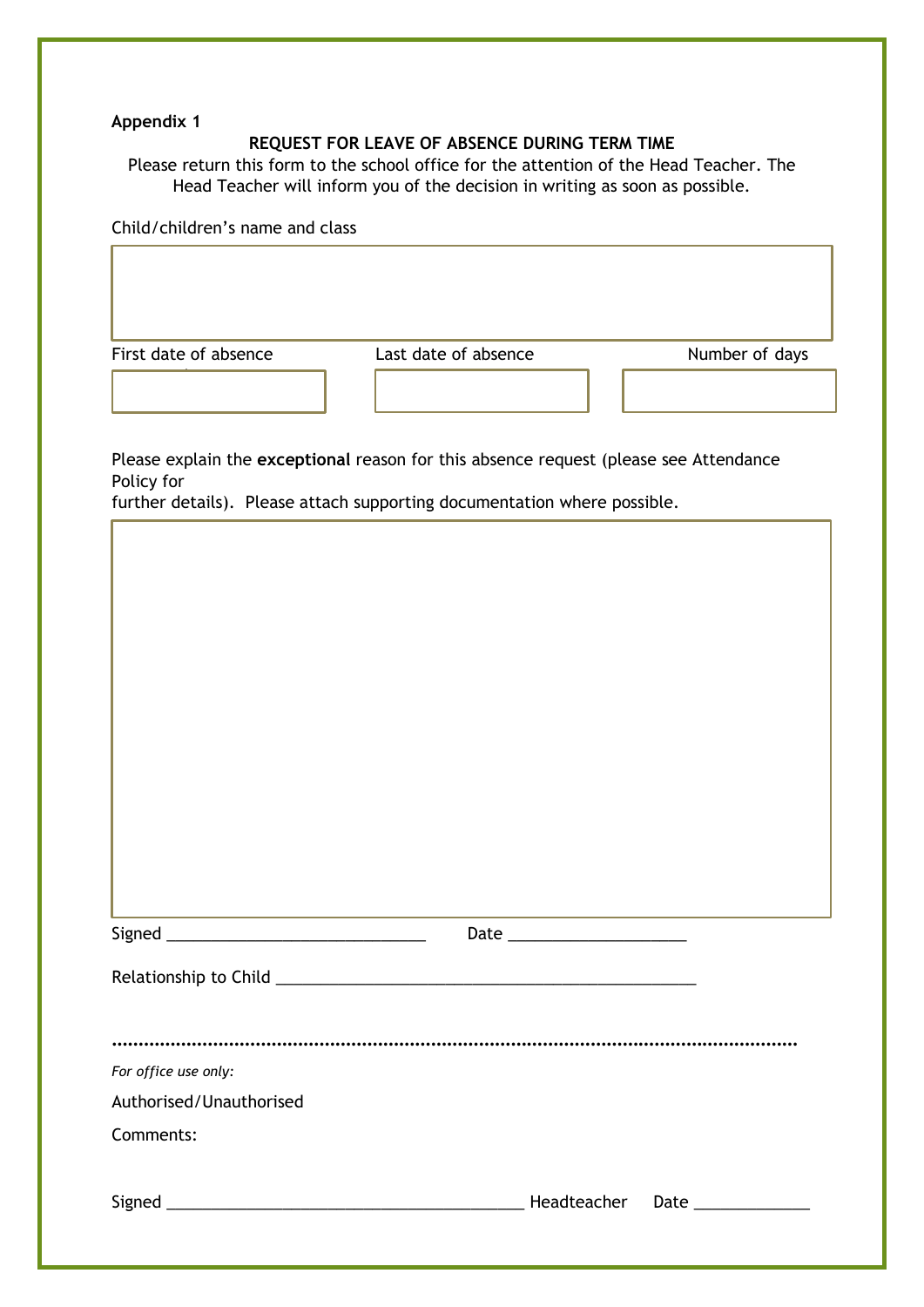#### **Appendix 1**

#### **REQUEST FOR LEAVE OF ABSENCE DURING TERM TIME**

Please return this form to the school office for the attention of the Head Teacher. The Head Teacher will inform you of the decision in writing as soon as possible.

Child/children's name and class

First date of absence **Last date of absence** Number of days

requested

Please explain the **exceptional** reason for this absence request (please see Attendance Policy for

further details). Please attach supporting documentation where possible.

| For office use only:    |  |
|-------------------------|--|
| Authorised/Unauthorised |  |
| Comments:               |  |
|                         |  |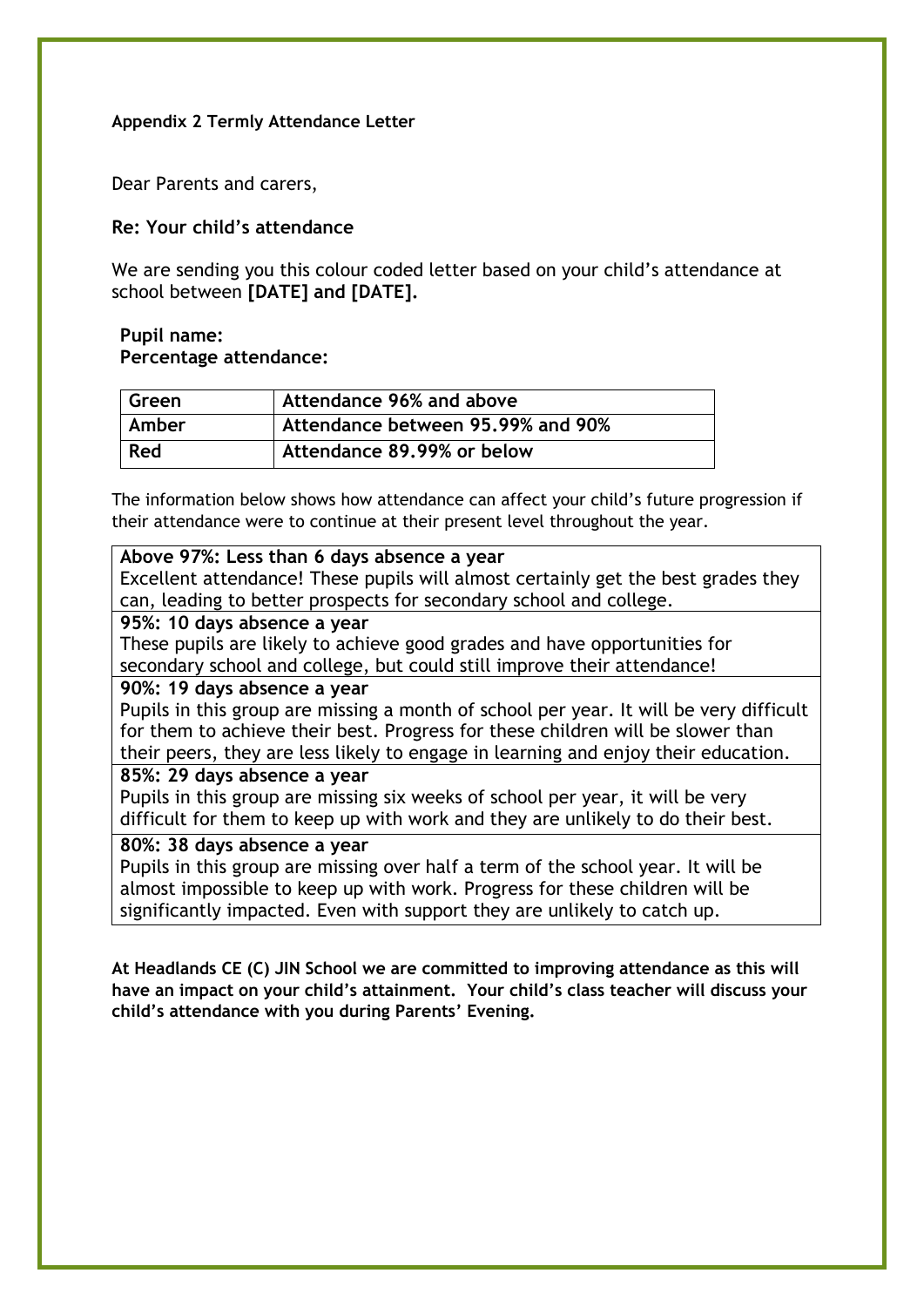#### **Appendix 2 Termly Attendance Letter**

Dear Parents and carers,

#### **Re: Your child's attendance**

We are sending you this colour coded letter based on your child's attendance at school between **[DATE] and [DATE].** 

#### **Pupil name: Percentage attendance:**

| Green | Attendance 96% and above          |
|-------|-----------------------------------|
| Amber | Attendance between 95,99% and 90% |
| Red   | Attendance 89.99% or below        |

The information below shows how attendance can affect your child's future progression if their attendance were to continue at their present level throughout the year.

#### **Above 97%: Less than 6 days absence a year**

Excellent attendance! These pupils will almost certainly get the best grades they can, leading to better prospects for secondary school and college.

#### **95%: 10 days absence a year**

These pupils are likely to achieve good grades and have opportunities for secondary school and college, but could still improve their attendance!

#### **90%: 19 days absence a year**

Pupils in this group are missing a month of school per year. It will be very difficult for them to achieve their best. Progress for these children will be slower than their peers, they are less likely to engage in learning and enjoy their education.

#### **85%: 29 days absence a year**

Pupils in this group are missing six weeks of school per year, it will be very difficult for them to keep up with work and they are unlikely to do their best.

#### **80%: 38 days absence a year**

Pupils in this group are missing over half a term of the school year. It will be almost impossible to keep up with work. Progress for these children will be significantly impacted. Even with support they are unlikely to catch up.

**At Headlands CE (C) JIN School we are committed to improving attendance as this will have an impact on your child's attainment. Your child's class teacher will discuss your child's attendance with you during Parents' Evening.**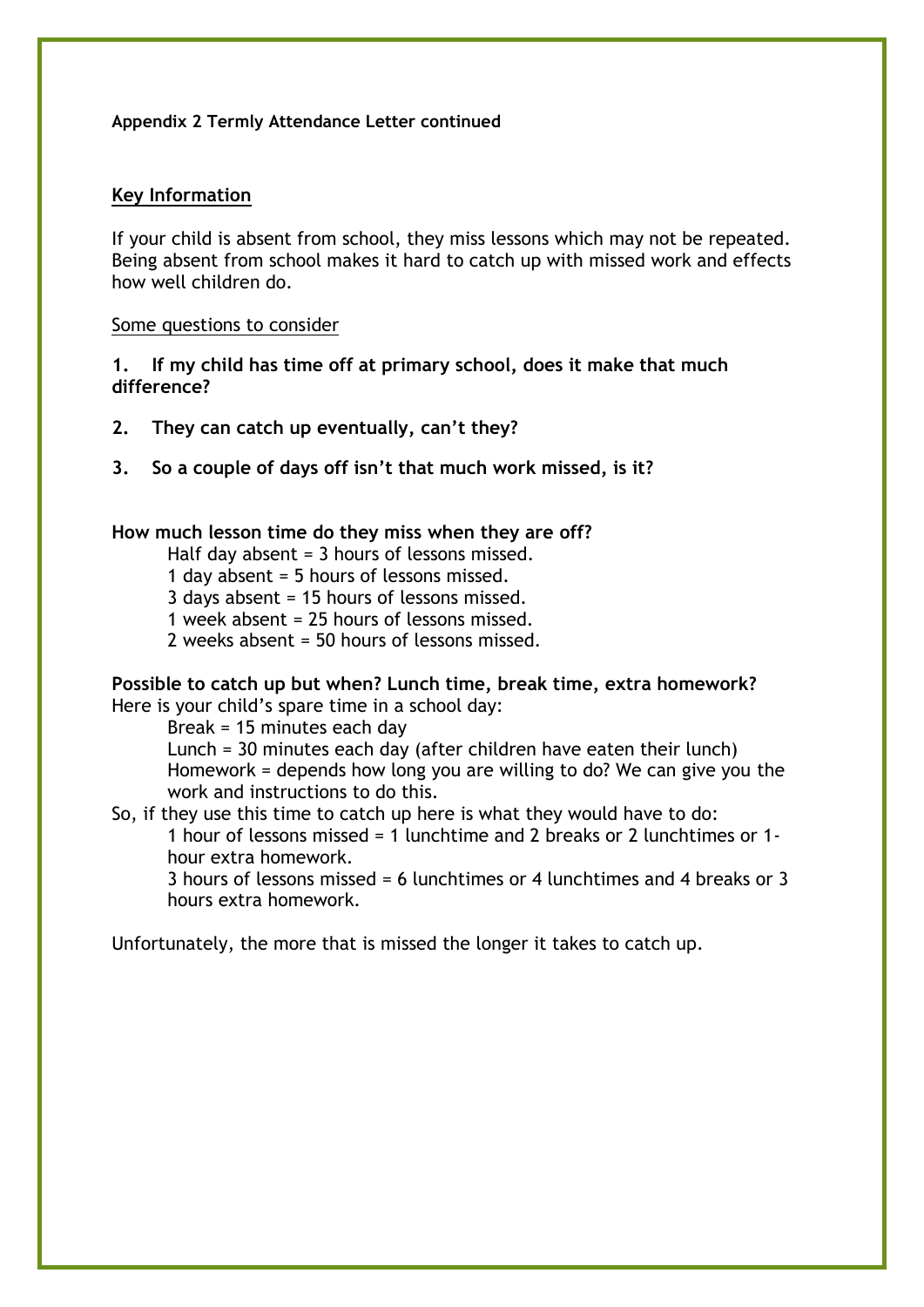#### **Appendix 2 Termly Attendance Letter continued**

#### **Key Information**

If your child is absent from school, they miss lessons which may not be repeated. Being absent from school makes it hard to catch up with missed work and effects how well children do.

#### Some questions to consider

#### **1. If my child has time off at primary school, does it make that much difference?**

- **2. They can catch up eventually, can't they?**
- **3. So a couple of days off isn't that much work missed, is it?**

#### **How much lesson time do they miss when they are off?**

Half day absent = 3 hours of lessons missed.

- 1 day absent = 5 hours of lessons missed.
- 3 days absent = 15 hours of lessons missed.
- 1 week absent = 25 hours of lessons missed.
- 2 weeks absent = 50 hours of lessons missed.

#### **Possible to catch up but when? Lunch time, break time, extra homework?** Here is your child's spare time in a school day:

Break = 15 minutes each day

Lunch = 30 minutes each day (after children have eaten their lunch) Homework = depends how long you are willing to do? We can give you the work and instructions to do this.

So, if they use this time to catch up here is what they would have to do:

1 hour of lessons missed = 1 lunchtime and 2 breaks or 2 lunchtimes or 1 hour extra homework.

3 hours of lessons missed = 6 lunchtimes or 4 lunchtimes and 4 breaks or 3 hours extra homework.

Unfortunately, the more that is missed the longer it takes to catch up.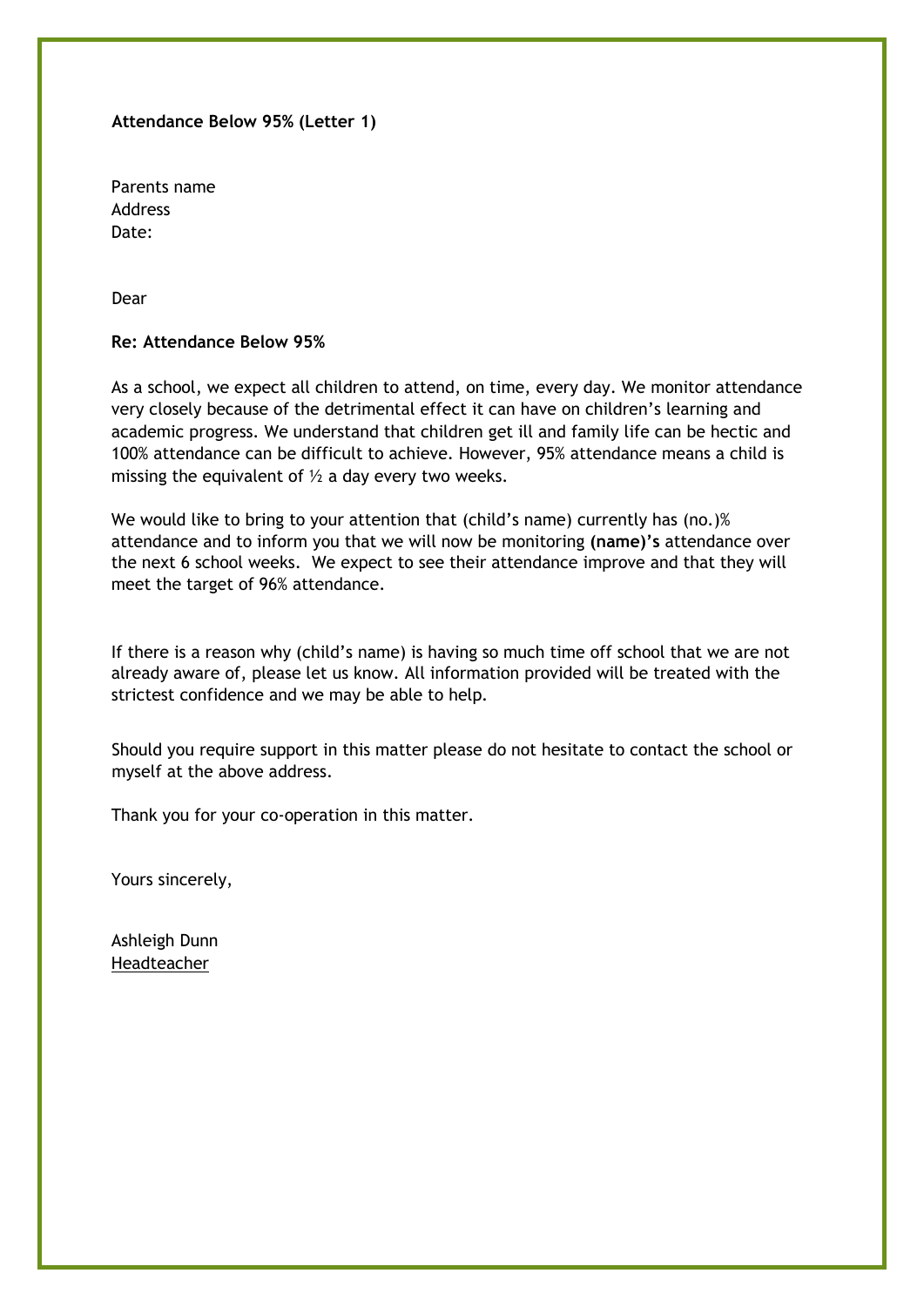#### **Attendance Below 95% (Letter 1)**

Parents name Address Date:

Dear

#### **Re: Attendance Below 95%**

As a school, we expect all children to attend, on time, every day. We monitor attendance very closely because of the detrimental effect it can have on children's learning and academic progress. We understand that children get ill and family life can be hectic and 100% attendance can be difficult to achieve. However, 95% attendance means a child is missing the equivalent of  $\frac{1}{2}$  a day every two weeks.

We would like to bring to your attention that (child's name) currently has (no.)% attendance and to inform you that we will now be monitoring **(name)'s** attendance over the next 6 school weeks. We expect to see their attendance improve and that they will meet the target of 96% attendance.

If there is a reason why (child's name) is having so much time off school that we are not already aware of, please let us know. All information provided will be treated with the strictest confidence and we may be able to help.

Should you require support in this matter please do not hesitate to contact the school or myself at the above address.

Thank you for your co-operation in this matter.

Yours sincerely,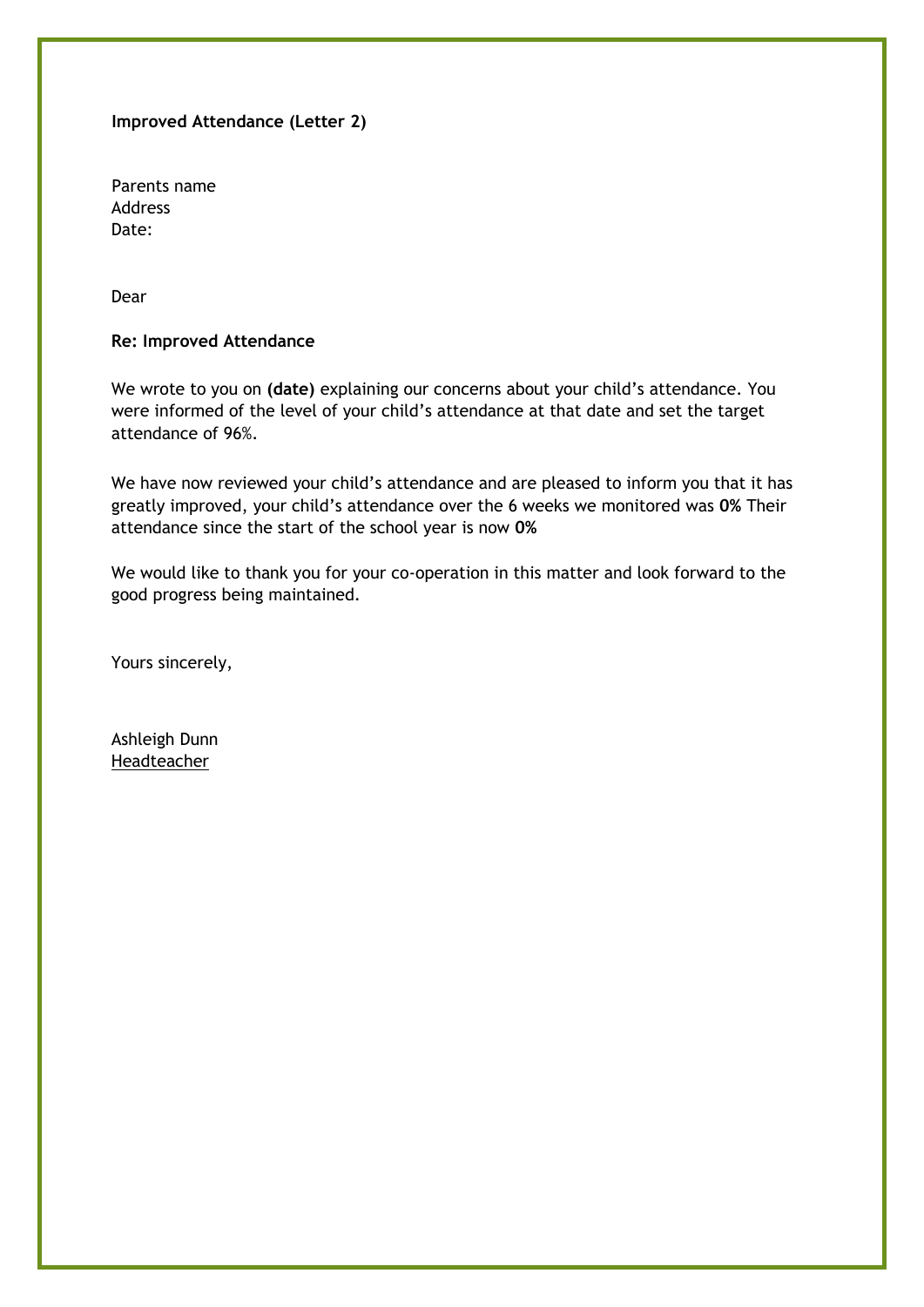#### **Improved Attendance (Letter 2)**

Parents name Address Date:

Dear

#### **Re: Improved Attendance**

We wrote to you on **(date)** explaining our concerns about your child's attendance. You were informed of the level of your child's attendance at that date and set the target attendance of 96%.

We have now reviewed your child's attendance and are pleased to inform you that it has greatly improved, your child's attendance over the 6 weeks we monitored was **0%** Their attendance since the start of the school year is now **0%**

We would like to thank you for your co-operation in this matter and look forward to the good progress being maintained.

Yours sincerely,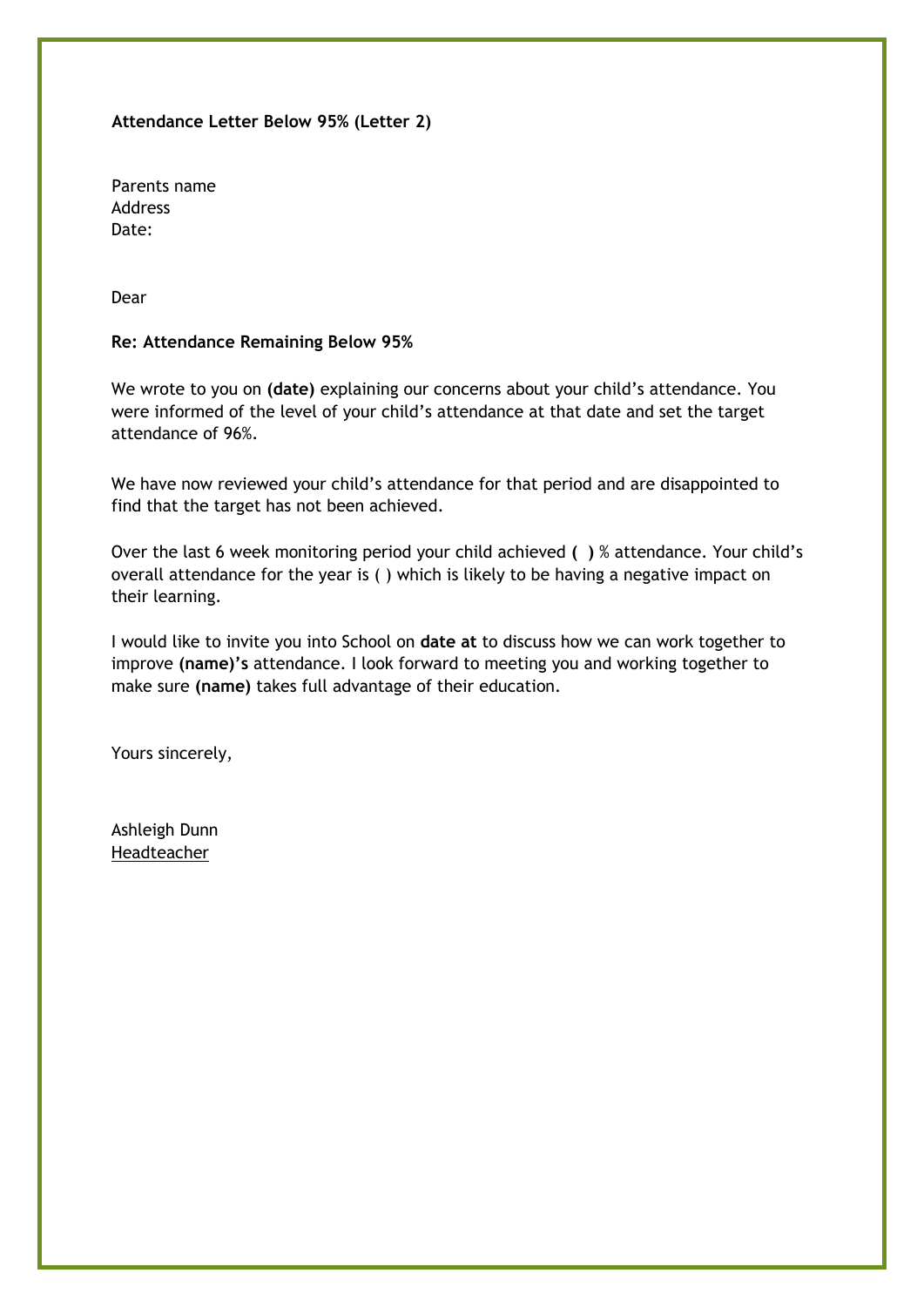#### **Attendance Letter Below 95% (Letter 2)**

Parents name Address Date:

Dear

#### **Re: Attendance Remaining Below 95%**

We wrote to you on **(date)** explaining our concerns about your child's attendance. You were informed of the level of your child's attendance at that date and set the target attendance of 96%.

We have now reviewed your child's attendance for that period and are disappointed to find that the target has not been achieved.

Over the last 6 week monitoring period your child achieved **( )** % attendance. Your child's overall attendance for the year is ( ) which is likely to be having a negative impact on their learning.

I would like to invite you into School on **date at** to discuss how we can work together to improve **(name)'s** attendance. I look forward to meeting you and working together to make sure **(name)** takes full advantage of their education.

Yours sincerely,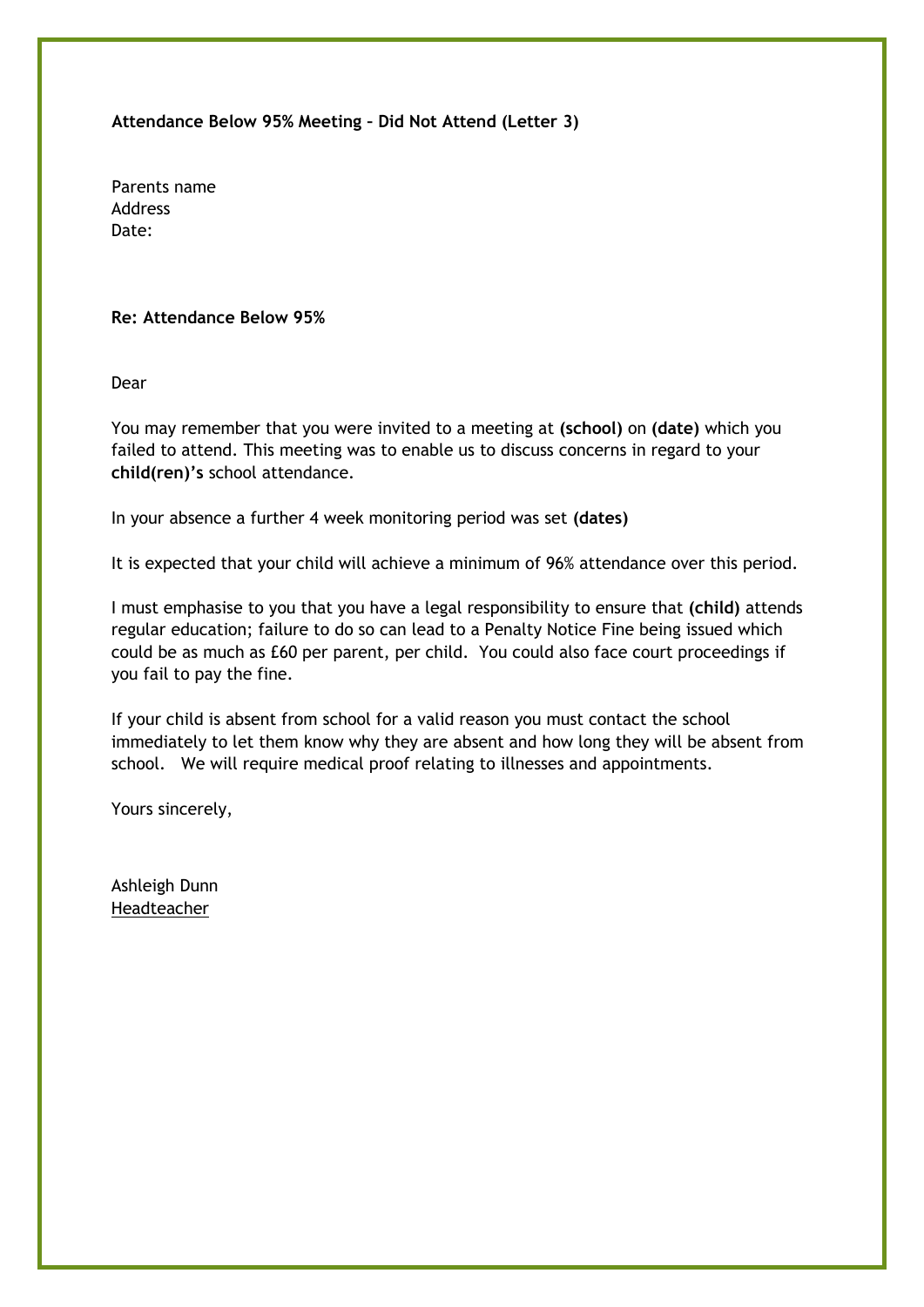**Attendance Below 95% Meeting – Did Not Attend (Letter 3)**

Parents name Address Date:

#### **Re: Attendance Below 95%**

Dear

You may remember that you were invited to a meeting at **(school)** on **(date)** which you failed to attend. This meeting was to enable us to discuss concerns in regard to your **child(ren)'s** school attendance.

In your absence a further 4 week monitoring period was set **(dates)**

It is expected that your child will achieve a minimum of 96% attendance over this period.

I must emphasise to you that you have a legal responsibility to ensure that **(child)** attends regular education; failure to do so can lead to a Penalty Notice Fine being issued which could be as much as £60 per parent, per child. You could also face court proceedings if you fail to pay the fine.

If your child is absent from school for a valid reason you must contact the school immediately to let them know why they are absent and how long they will be absent from school. We will require medical proof relating to illnesses and appointments.

Yours sincerely,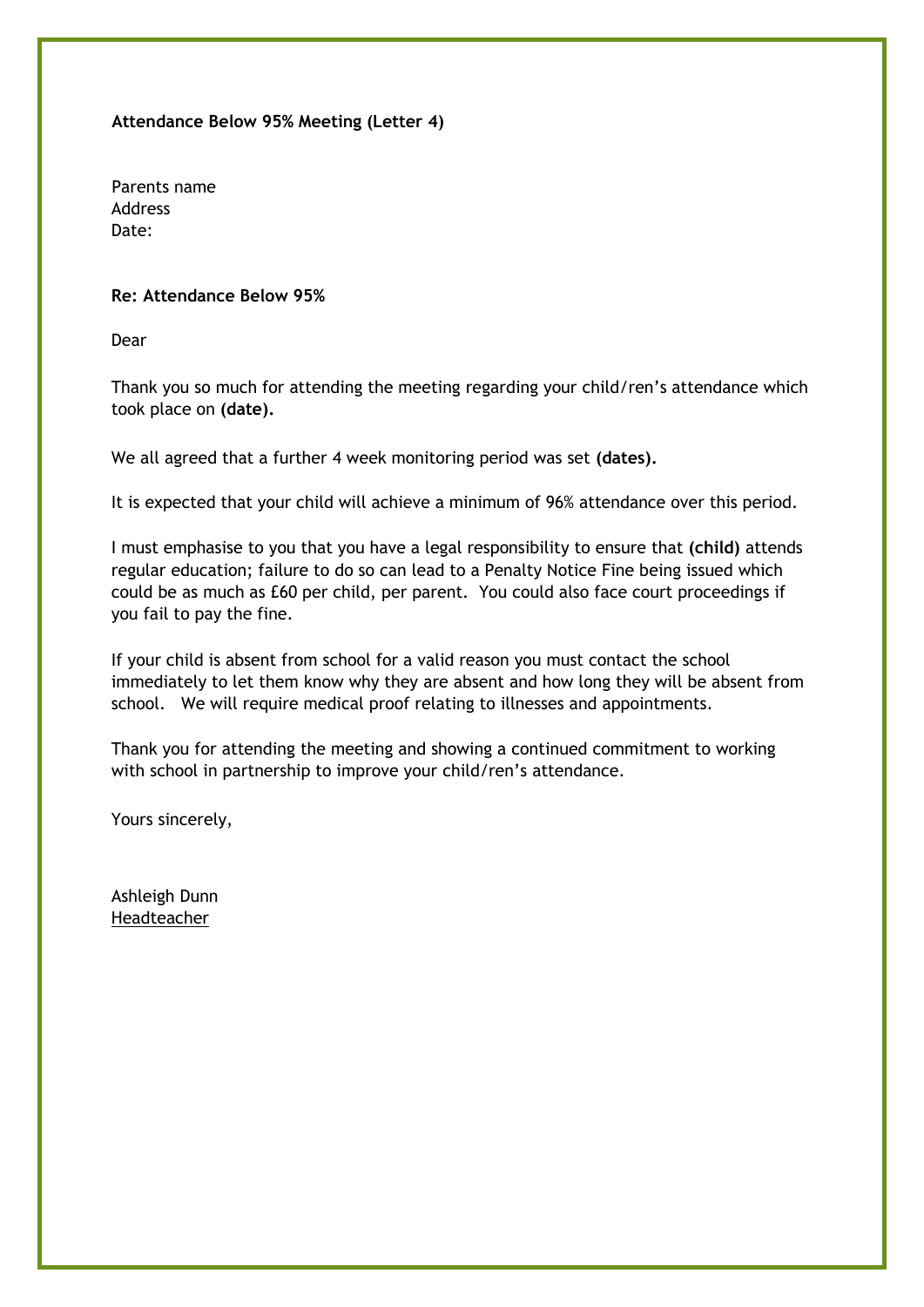**Attendance Below 95% Meeting (Letter 4)**

Parents name Address Date:

#### **Re: Attendance Below 95%**

Dear

Thank you so much for attending the meeting regarding your child/ren's attendance which took place on **(date).**

We all agreed that a further 4 week monitoring period was set **(dates).**

It is expected that your child will achieve a minimum of 96% attendance over this period.

I must emphasise to you that you have a legal responsibility to ensure that **(child)** attends regular education; failure to do so can lead to a Penalty Notice Fine being issued which could be as much as £60 per child, per parent. You could also face court proceedings if you fail to pay the fine.

If your child is absent from school for a valid reason you must contact the school immediately to let them know why they are absent and how long they will be absent from school. We will require medical proof relating to illnesses and appointments.

Thank you for attending the meeting and showing a continued commitment to working with school in partnership to improve your child/ren's attendance.

Yours sincerely,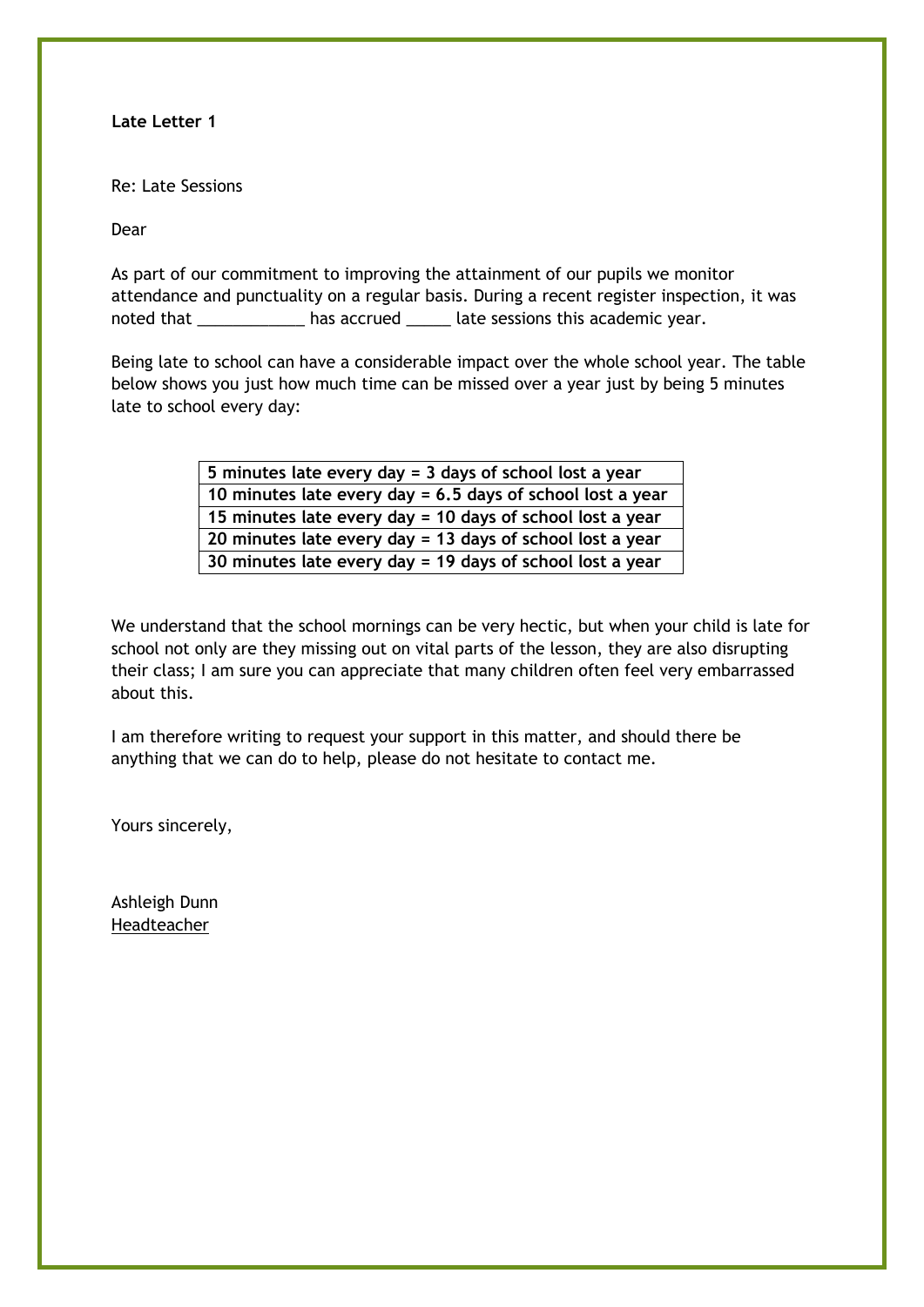**Late Letter 1**

Re: Late Sessions

Dear

As part of our commitment to improving the attainment of our pupils we monitor attendance and punctuality on a regular basis. During a recent register inspection, it was noted that \_\_\_\_\_\_\_\_\_\_\_\_\_\_ has accrued \_\_\_\_\_\_ late sessions this academic year.

Being late to school can have a considerable impact over the whole school year. The table below shows you just how much time can be missed over a year just by being 5 minutes late to school every day:

| 5 minutes late every day = $3$ days of school lost a year    |  |  |
|--------------------------------------------------------------|--|--|
| 10 minutes late every day = $6.5$ days of school lost a year |  |  |
| 15 minutes late every day = 10 days of school lost a year    |  |  |
| 20 minutes late every day = 13 days of school lost a year    |  |  |
| 30 minutes late every day = 19 days of school lost a year    |  |  |

We understand that the school mornings can be very hectic, but when your child is late for school not only are they missing out on vital parts of the lesson, they are also disrupting their class; I am sure you can appreciate that many children often feel very embarrassed about this.

I am therefore writing to request your support in this matter, and should there be anything that we can do to help, please do not hesitate to contact me.

Yours sincerely,